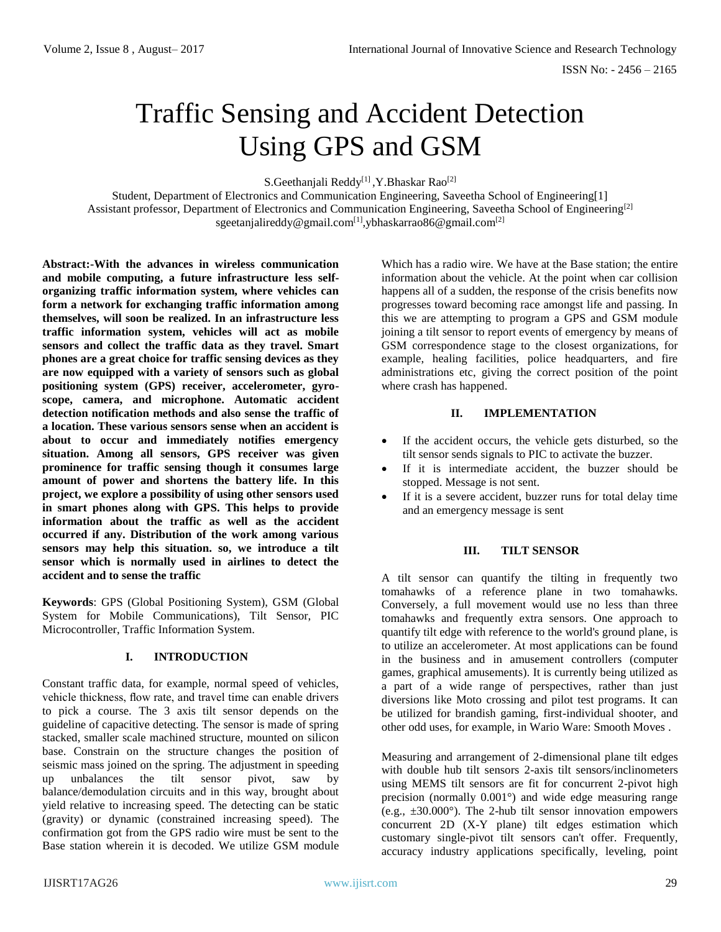# Traffic Sensing and Accident Detection Using GPS and GSM

S.Geethanjali Reddy<sup>[1]</sup>, Y.Bhaskar Rao<sup>[2]</sup>

Student, Department of Electronics and Communication Engineering, Saveetha School of Engineering[1] Assistant professor, Department of Electronics and Communication Engineering, Saveetha School of Engineering<sup>[2]</sup> [sgeetanjalireddy@gmail.com](mailto:sgeetanjalireddy@gmail.com[1],ybhaskarrao86@gmail.com[2)<sup>[1]</sup>,ybhaskarrao86@gmail.com<sup>[2]</sup>

**Abstract:-With the advances in wireless communication and mobile computing, a future infrastructure less selforganizing traffic information system, where vehicles can form a network for exchanging traffic information among themselves, will soon be realized. In an infrastructure less traffic information system, vehicles will act as mobile sensors and collect the traffic data as they travel. Smart phones are a great choice for traffic sensing devices as they are now equipped with a variety of sensors such as global positioning system (GPS) receiver, accelerometer, gyroscope, camera, and microphone. Automatic accident detection notification methods and also sense the traffic of a location. These various sensors sense when an accident is about to occur and immediately notifies emergency situation. Among all sensors, GPS receiver was given prominence for traffic sensing though it consumes large amount of power and shortens the battery life. In this project, we explore a possibility of using other sensors used in smart phones along with GPS. This helps to provide information about the traffic as well as the accident occurred if any. Distribution of the work among various sensors may help this situation. so, we introduce a tilt sensor which is normally used in airlines to detect the accident and to sense the traffic** 

**Keywords**: GPS (Global Positioning System), GSM (Global System for Mobile Communications), Tilt Sensor, PIC Microcontroller, Traffic Information System.

## **I. INTRODUCTION**

Constant traffic data, for example, normal speed of vehicles, vehicle thickness, flow rate, and travel time can enable drivers to pick a course. The 3 axis tilt sensor depends on the guideline of capacitive detecting. The sensor is made of spring stacked, smaller scale machined structure, mounted on silicon base. Constrain on the structure changes the position of seismic mass joined on the spring. The adjustment in speeding up unbalances the tilt sensor pivot, saw by balance/demodulation circuits and in this way, brought about yield relative to increasing speed. The detecting can be static (gravity) or dynamic (constrained increasing speed). The confirmation got from the GPS radio wire must be sent to the Base station wherein it is decoded. We utilize GSM module

Which has a radio wire. We have at the Base station; the entire information about the vehicle. At the point when car collision happens all of a sudden, the response of the crisis benefits now progresses toward becoming race amongst life and passing. In this we are attempting to program a GPS and GSM module joining a tilt sensor to report events of emergency by means of GSM correspondence stage to the closest organizations, for example, healing facilities, police headquarters, and fire administrations etc, giving the correct position of the point where crash has happened.

## **II. IMPLEMENTATION**

- If the accident occurs, the vehicle gets disturbed, so the tilt sensor sends signals to PIC to activate the buzzer.
- If it is intermediate accident, the buzzer should be stopped. Message is not sent.
- If it is a severe accident, buzzer runs for total delay time and an emergency message is sent

#### **III. TILT SENSOR**

A tilt sensor can quantify the tilting in frequently two tomahawks of a reference plane in two tomahawks. Conversely, a full movement would use no less than three tomahawks and frequently extra sensors. One approach to quantify tilt edge with reference to the world's ground plane, is to utilize an accelerometer. At most applications can be found in the business and in amusement controllers (computer games, graphical amusements). It is currently being utilized as a part of a wide range of perspectives, rather than just diversions like Moto crossing and pilot test programs. It can be utilized for brandish gaming, first-individual shooter, and other odd uses, for example, in Wario Ware: Smooth Moves .

Measuring and arrangement of 2-dimensional plane tilt edges with double hub tilt sensors 2-axis tilt sensors/inclinometers using MEMS tilt sensors are fit for concurrent 2-pivot high precision (normally 0.001°) and wide edge measuring range (e.g.,  $\pm 30.000^{\circ}$ ). The 2-hub tilt sensor innovation empowers concurrent 2D (X-Y plane) tilt edges estimation which customary single-pivot tilt sensors can't offer. Frequently, accuracy industry applications specifically, leveling, point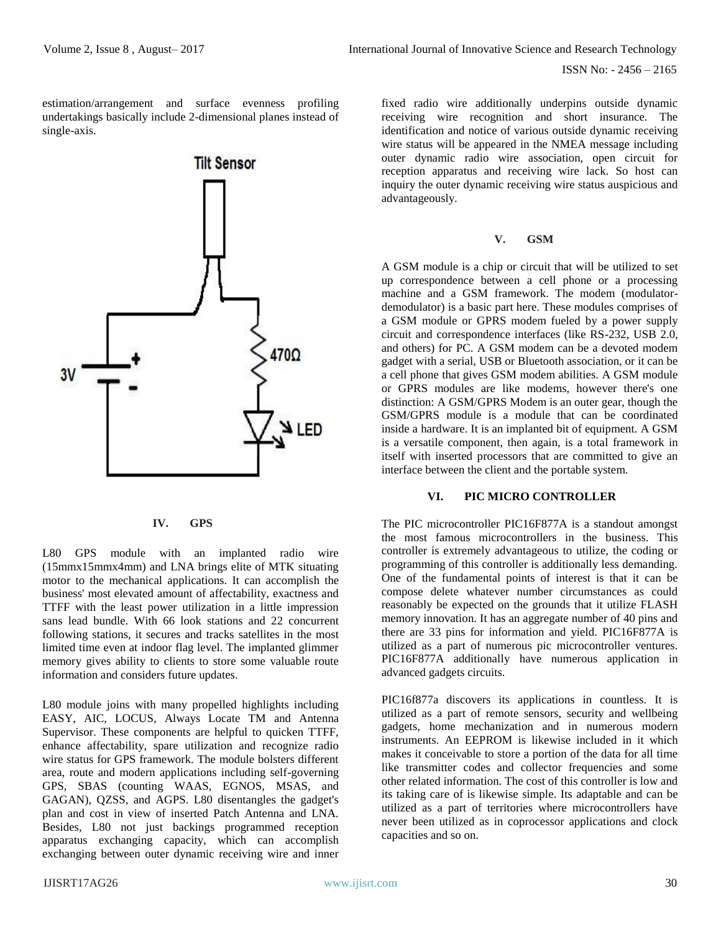estimation/arrangement and surface evenness profiling undertakings basically include 2-dimensional planes instead of single-axis.



#### **IV. GPS**

L80 GPS module with an implanted radio wire (15mmx15mmx4mm) and LNA brings elite of MTK situating motor to the mechanical applications. It can accomplish the business' most elevated amount of affectability, exactness and TTFF with the least power utilization in a little impression sans lead bundle. With 66 look stations and 22 concurrent following stations, it secures and tracks satellites in the most limited time even at indoor flag level. The implanted glimmer memory gives ability to clients to store some valuable route information and considers future updates.

L80 module joins with many propelled highlights including EASY, AIC, LOCUS, Always Locate TM and Antenna Supervisor. These components are helpful to quicken TTFF, enhance affectability, spare utilization and recognize radio wire status for GPS framework. The module bolsters different area, route and modern applications including self-governing GPS, SBAS (counting WAAS, EGNOS, MSAS, and GAGAN), QZSS, and AGPS. L80 disentangles the gadget's plan and cost in view of inserted Patch Antenna and LNA. Besides, L80 not just backings programmed reception apparatus exchanging capacity, which can accomplish exchanging between outer dynamic receiving wire and inner

fixed radio wire additionally underpins outside dynamic receiving wire recognition and short insurance. The identification and notice of various outside dynamic receiving wire status will be appeared in the NMEA message including outer dynamic radio wire association, open circuit for reception apparatus and receiving wire lack. So host can inquiry the outer dynamic receiving wire status auspicious and advantageously.

## **V. GSM**

A GSM module is a chip or circuit that will be utilized to set up correspondence between a cell phone or a processing machine and a GSM framework. The modem (modulatordemodulator) is a basic part here. These modules comprises of a GSM module or GPRS modem fueled by a power supply circuit and correspondence interfaces (like RS-232, USB 2.0, and others) for PC. A GSM modem can be a devoted modem gadget with a serial, USB or Bluetooth association, or it can be a cell phone that gives GSM modem abilities. A GSM module or GPRS modules are like modems, however there's one distinction: A GSM/GPRS Modem is an outer gear, though the GSM/GPRS module is a module that can be coordinated inside a hardware. It is an implanted bit of equipment. A GSM is a versatile component, then again, is a total framework in itself with inserted processors that are committed to give an interface between the client and the portable system.

#### **VI. PIC MICRO CONTROLLER**

The PIC microcontroller PIC16F877A is a standout amongst the most famous microcontrollers in the business. This controller is extremely advantageous to utilize, the coding or programming of this controller is additionally less demanding. One of the fundamental points of interest is that it can be compose delete whatever number circumstances as could reasonably be expected on the grounds that it utilize FLASH memory innovation. It has an aggregate number of 40 pins and there are 33 pins for information and yield. PIC16F877A is utilized as a part of numerous pic microcontroller ventures. PIC16F877A additionally have numerous application in advanced gadgets circuits.

PIC16f877a discovers its applications in countless. It is utilized as a part of remote sensors, security and wellbeing gadgets, home mechanization and in numerous modern instruments. An EEPROM is likewise included in it which makes it conceivable to store a portion of the data for all time like transmitter codes and collector frequencies and some other related information. The cost of this controller is low and its taking care of is likewise simple. Its adaptable and can be utilized as a part of territories where microcontrollers have never been utilized as in coprocessor applications and clock capacities and so on.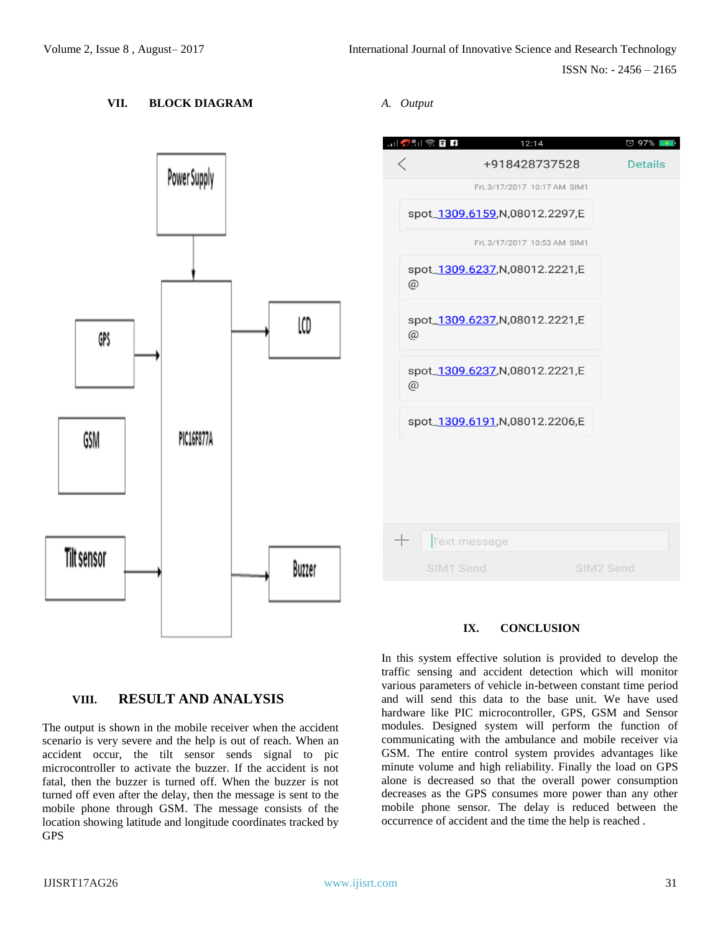## **VII. BLOCK DIAGRAM**



## *A. Output*



## **IX. CONCLUSION**

In this system effective solution is provided to develop the traffic sensing and accident detection which will monitor various parameters of vehicle in-between constant time period and will send this data to the base unit. We have used hardware like PIC microcontroller, GPS, GSM and Sensor modules. Designed system will perform the function of communicating with the ambulance and mobile receiver via GSM. The entire control system provides advantages like minute volume and high reliability. Finally the load on GPS alone is decreased so that the overall power consumption decreases as the GPS consumes more power than any other mobile phone sensor. The delay is reduced between the occurrence of accident and the time the help is reached .

# **VIII. RESULT AND ANALYSIS**

The output is shown in the mobile receiver when the accident scenario is very severe and the help is out of reach. When an accident occur, the tilt sensor sends signal to pic microcontroller to activate the buzzer. If the accident is not fatal, then the buzzer is turned off. When the buzzer is not turned off even after the delay, then the message is sent to the mobile phone through GSM. The message consists of the location showing latitude and longitude coordinates tracked by GPS